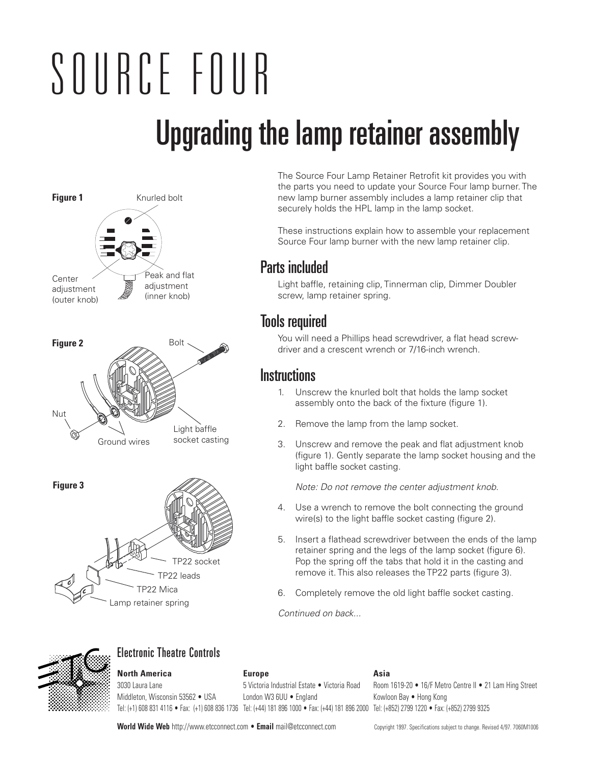# Upgrading the lamp retainer assembly SOURCE FOUR







The Source Four Lamp Retainer Retrofit kit provides you with the parts you need to update your Source Four lamp burner. The new lamp burner assembly includes a lamp retainer clip that securely holds the HPL lamp in the lamp socket.

These instructions explain how to assemble your replacement Source Four lamp burner with the new lamp retainer clip.

### Parts included

Light baffle, retaining clip, Tinnerman clip, Dimmer Doubler screw, lamp retainer spring.

## Tools required

You will need a Phillips head screwdriver, a flat head screwdriver and a crescent wrench or 7/16-inch wrench.

#### **Instructions**

- 1. Unscrew the knurled bolt that holds the lamp socket assembly onto the back of the fixture (figure 1).
- 2. Remove the lamp from the lamp socket.
- 3. Unscrew and remove the peak and flat adjustment knob (figure 1). Gently separate the lamp socket housing and the light baffle socket casting.

Note: Do not remove the center adjustment knob.

- 4. Use a wrench to remove the bolt connecting the ground wire(s) to the light baffle socket casting (figure 2).
- 5. Insert a flathead screwdriver between the ends of the lamp retainer spring and the legs of the lamp socket (figure 6). Pop the spring off the tabs that hold it in the casting and remove it. This also releases the TP22 parts (figure 3).
- 6. Completely remove the old light baffle socket casting.

Continued on back...



#### Electronic Theatre Controls

## **North America Europe Asia**

Middleton, Wisconsin 53562 • USA London W3 6UU • England Kowloon Bay • Hong Kong Tel: (+1) 608 831 4116 • Fax: (+1) 608 836 1736 Tel: (+44) 181 896 1000 • Fax: (+44) 181 896 2000 Tel: (+852) 2799 1220 • Fax: (+852) 2799 9325

3030 Laura Lane 5 Victoria Industrial Estate • Victoria Road Room 1619-20 • 16/F Metro Centre II • 21 Lam Hing Street

World Wide Web http://www.etcconnect.com • Email mail@etcconnect.com Copyright 1997. Specifications subject to change. Revised 4/97. 7060M1006